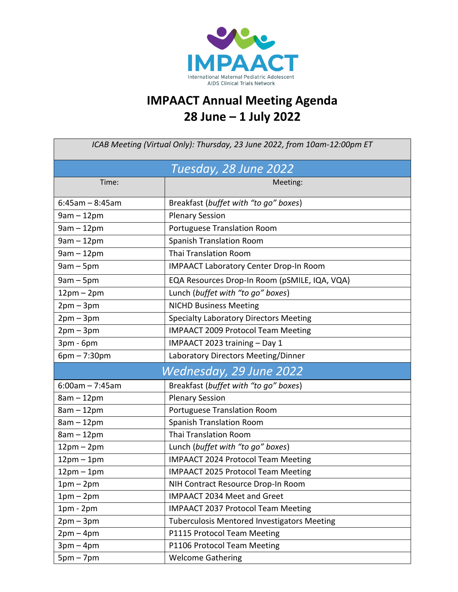

## **IMPAACT Annual Meeting Agenda 28 June – 1 July 2022**

| ICAB Meeting (Virtual Only): Thursday, 23 June 2022, from 10am-12:00pm ET |                                                    |  |
|---------------------------------------------------------------------------|----------------------------------------------------|--|
| Tuesday, 28 June 2022                                                     |                                                    |  |
| Time:                                                                     | Meeting:                                           |  |
| $6:45am - 8:45am$                                                         | Breakfast (buffet with "to go" boxes)              |  |
| $9am - 12pm$                                                              | <b>Plenary Session</b>                             |  |
| $9am - 12pm$                                                              | Portuguese Translation Room                        |  |
| $9am - 12pm$                                                              | <b>Spanish Translation Room</b>                    |  |
| $9am - 12pm$                                                              | Thai Translation Room                              |  |
| $9am - 5pm$                                                               | <b>IMPAACT Laboratory Center Drop-In Room</b>      |  |
| $9am - 5pm$                                                               | EQA Resources Drop-In Room (pSMILE, IQA, VQA)      |  |
| $12pm - 2pm$                                                              | Lunch (buffet with "to go" boxes)                  |  |
| $2pm-3pm$                                                                 | <b>NICHD Business Meeting</b>                      |  |
| $2pm-3pm$                                                                 | <b>Specialty Laboratory Directors Meeting</b>      |  |
| $2pm-3pm$                                                                 | <b>IMPAACT 2009 Protocol Team Meeting</b>          |  |
| 3pm - 6pm                                                                 | IMPAACT 2023 training - Day 1                      |  |
| $6pm - 7:30pm$                                                            | Laboratory Directors Meeting/Dinner                |  |
| Wednesday, 29 June 2022                                                   |                                                    |  |
| $6:00am - 7:45am$                                                         | Breakfast (buffet with "to go" boxes)              |  |
| $8am - 12pm$                                                              | <b>Plenary Session</b>                             |  |
| $8am - 12pm$                                                              | Portuguese Translation Room                        |  |
| $8am - 12pm$                                                              | <b>Spanish Translation Room</b>                    |  |
| $8am - 12pm$                                                              | <b>Thai Translation Room</b>                       |  |
| $12pm - 2pm$                                                              | Lunch (buffet with "to go" boxes)                  |  |
| $12pm-1pm$                                                                | <b>IMPAACT 2024 Protocol Team Meeting</b>          |  |
| $12pm-1pm$                                                                | IMPAACT 2025 Protocol Team Meeting                 |  |
| $1pm-2pm$                                                                 | NIH Contract Resource Drop-In Room                 |  |
| $1pm-2pm$                                                                 | IMPAACT 2034 Meet and Greet                        |  |
| $1pm - 2pm$                                                               | <b>IMPAACT 2037 Protocol Team Meeting</b>          |  |
| $2pm-3pm$                                                                 | <b>Tuberculosis Mentored Investigators Meeting</b> |  |
| $2pm-4pm$                                                                 | P1115 Protocol Team Meeting                        |  |
| $3pm-4pm$                                                                 | P1106 Protocol Team Meeting                        |  |
| $5pm - 7pm$                                                               | <b>Welcome Gathering</b>                           |  |